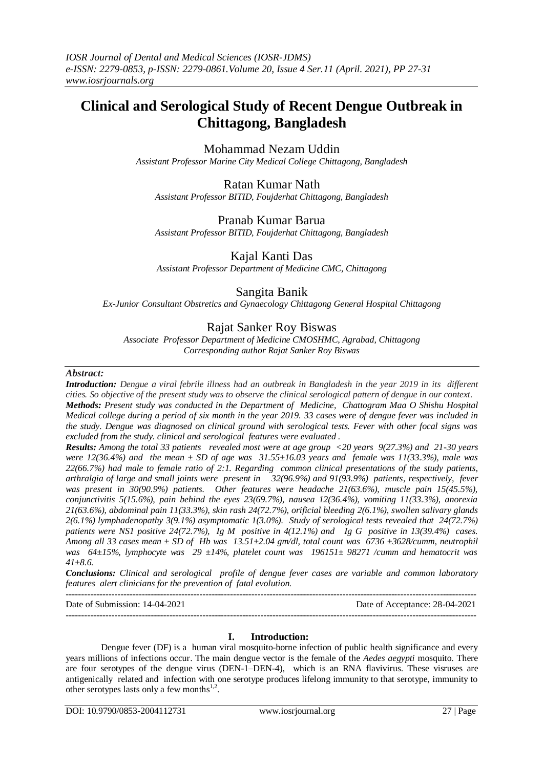# **Clinical and Serological Study of Recent Dengue Outbreak in Chittagong, Bangladesh**

Mohammad Nezam Uddin

*Assistant Professor Marine City Medical College Chittagong, Bangladesh*

### Ratan Kumar Nath

*Assistant Professor BITID, Foujderhat Chittagong, Bangladesh*

### Pranab Kumar Barua

*Assistant Professor BITID, Foujderhat Chittagong, Bangladesh*

### Kajal Kanti Das

*Assistant Professor Department of Medicine CMC, Chittagong*

### Sangita Banik

*Ex-Junior Consultant Obstretics and Gynaecology Chittagong General Hospital Chittagong*

## Rajat Sanker Roy Biswas

*Associate Professor Department of Medicine CMOSHMC, Agrabad, Chittagong Corresponding author Rajat Sanker Roy Biswas*

#### *Abstract:*

*Introduction: Dengue a viral febrile illness had an outbreak in Bangladesh in the year 2019 in its different cities. So objective of the present study was to observe the clinical serological pattern of dengue in our context. Methods: Present study was conducted in the Department of Medicine, Chattogram Maa O Shishu Hospital Medical college during a period of six month in the year 2019. 33 cases were of dengue fever was included in the study. Dengue was diagnosed on clinical ground with serological tests. Fever with other focal signs was excluded from the study. clinical and serological features were evaluated .*

*Results: Among the total 33 patients revealed most were at age group <20 years 9(27.3%) and 21-30 years were 12(36.4%) and the mean ± SD of age was 31.55±16.03 years and female was 11(33.3%), male was 22(66.7%) had male to female ratio of 2:1. Regarding common clinical presentations of the study patients, arthralgia of large and small joints were present in 32(96.9%) and 91(93.9%) patients, respectively, fever was present in 30(90.9%) patients. Other features were headache 21(63.6%), muscle pain 15(45.5%), conjunctivitis 5(15.6%), pain behind the eyes 23(69.7%), nausea 12(36.4%), vomiting 11(33.3%), anorexia 21(63.6%), abdominal pain 11(33.3%), skin rash 24(72.7%), orificial bleeding 2(6.1%), swollen salivary glands 2(6.1%) lymphadenopathy 3(9.1%) asymptomatic 1(3.0%). Study of serological tests revealed that 24(72.7%) patients were NS1 positive 24(72.7%), Ig M positive in 4(12.1%) and Ig G positive in 13(39.4%) cases. Among all 33 cases mean ± SD of Hb was 13.51±2.04 gm/dl, total count was 6736 ±3628/cumm, neutrophil was 64±15%, lymphocyte was 29 ±14%, platelet count was 196151± 98271 /cumm and hematocrit was 41±8.6.* 

*Conclusions: Clinical and serological profile of dengue fever cases are variable and common laboratory features alert clinicians for the prevention of fatal evolution.*

---------------------------------------------------------------------------------------------------------------------------------------

#### Date of Submission: 14-04-2021 Date of Acceptance: 28-04-2021 ---------------------------------------------------------------------------------------------------------------------------------------

#### **I. Introduction:**

Dengue fever (DF) is a human viral mosquito-borne infection of public health significance and every years millions of infections occur. The main dengue vector is the female of the *Aedes aegypti* mosquito. There are four serotypes of the dengue virus (DEN-1–DEN-4), which is an RNA flavivirus. These visruses are antigenically related and infection with one serotype produces lifelong immunity to that serotype, immunity to other serotypes lasts only a few months $^{1,2}$ .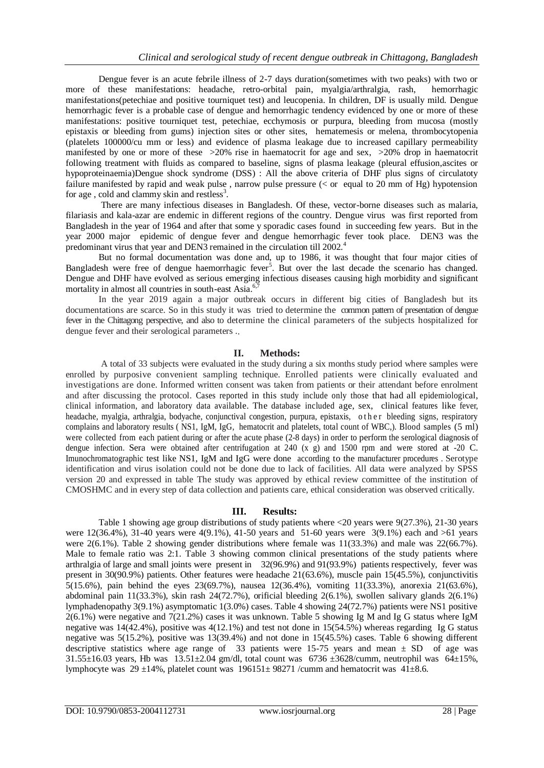Dengue fever is an acute febrile illness of 2-7 days duration(sometimes with two peaks) with two or more of these manifestations: headache, retro-orbital pain, myalgia/arthralgia, rash, hemorrhagic manifestations(petechiae and positive tourniquet test) and leucopenia. In children, DF is usually mild. Dengue hemorrhagic fever is a probable case of dengue and hemorrhagic tendency evidenced by one or more of these manifestations: positive tourniquet test, petechiae, ecchymosis or purpura, bleeding from mucosa (mostly epistaxis or bleeding from gums) injection sites or other sites, hematemesis or melena, thrombocytopenia (platelets 100000/cu mm or less) and evidence of plasma leakage due to increased capillary permeability manifested by one or more of these  $>20\%$  rise in haematocrit for age and sex,  $>20\%$  drop in haematocrit following treatment with fluids as compared to baseline, signs of plasma leakage (pleural effusion,ascites or hypoproteinaemia)Dengue shock syndrome (DSS) : All the above criteria of DHF plus signs of circulatoty failure manifested by rapid and weak pulse , narrow pulse pressure (< or equal to 20 mm of Hg) hypotension for age, cold and clammy skin and restless<sup>3</sup>.

There are many infectious diseases in Bangladesh. Of these, vector-borne diseases such as malaria, filariasis and kala-azar are endemic in different regions of the country. Dengue virus was first reported from Bangladesh in the year of 1964 and after that some y sporadic cases found in succeeding few years. But in the year 2000 major epidemic of dengue fever and dengue hemorrhagic fever took place. DEN3 was the predominant virus that year and DEN3 remained in the circulation till 2002.<sup>4</sup>

But no formal documentation was done and, up to 1986, it was thought that four major cities of Bangladesh were free of dengue haemorrhagic fever<sup>5</sup>. But over the last decade the scenario has changed. Dengue and DHF have evolved as serious emerging infectious diseases causing high morbidity and significant mortality in almost all countries in south-east Asia.<sup>6</sup>

In the year 2019 again a major outbreak occurs in different big cities of Bangladesh but its documentations are scarce. So in this study it was tried to determine the common pattern of presentation of dengue fever in the Chittagong perspective, and also to determine the clinical parameters of the subjects hospitalized for dengue fever and their serological parameters ..

#### **II. Methods:**

A total of 33 subjects were evaluated in the study during a six months study period where samples were enrolled by purposive convenient sampling technique. Enrolled patients were clinically evaluated and investigations are done. Informed written consent was taken from patients or their attendant before enrolment and after discussing the protocol. Cases reported in this study include only those that had all epidemiological, clinical information, and laboratory data available. The database included age, sex, clinical features like fever, headache, myalgia, arthralgia, bodyache, conjunctival congestion, purpura, epistaxis, o the r bleeding signs, respiratory complains and laboratory results ( NS1, IgM, IgG, hematocrit and platelets, total count of WBC,). Blood samples (5 ml) were collected from each patient during or after the acute phase (2-8 days) in order to perform the serological diagnosis of dengue infection. Sera were obtained after centrifugation at 240 (x g) and 1500 rpm and were stored at -20 C. Imunochromatographic test like NS1, IgM and IgG were done according to the manufacturer procedures . Serotype identification and virus isolation could not be done due to lack of facilities. All data were analyzed by SPSS version 20 and expressed in table The study was approved by ethical review committee of the institution of CMOSHMC and in every step of data collection and patients care, ethical consideration was observed critically.

#### **III. Results:**

Table 1 showing age group distributions of study patients where <20 years were 9(27.3%), 21-30 years were 12(36.4%), 31-40 years were 4(9.1%), 41-50 years and 51-60 years were 3(9.1%) each and >61 years were 2(6.1%). Table 2 showing gender distributions where female was 11(33.3%) and male was 22(66.7%). Male to female ratio was 2:1. Table 3 showing common clinical presentations of the study patients where arthralgia of large and small joints were present in 32(96.9%) and 91(93.9%) patients respectively, fever was present in 30(90.9%) patients. Other features were headache 21(63.6%), muscle pain 15(45.5%), conjunctivitis 5(15.6%), pain behind the eyes 23(69.7%), nausea 12(36.4%), vomiting 11(33.3%), anorexia 21(63.6%), abdominal pain 11(33.3%), skin rash 24(72.7%), orificial bleeding 2(6.1%), swollen salivary glands 2(6.1%) lymphadenopathy 3(9.1%) asymptomatic 1(3.0%) cases. Table 4 showing 24(72.7%) patients were NS1 positive 2(6.1%) were negative and 7(21.2%) cases it was unknown. Table 5 showing Ig M and Ig G status where IgM negative was  $14(42.4\%)$ , positive was  $4(12.1\%)$  and test not done in 15(54.5%) whereas regarding Ig G status negative was 5(15.2%), positive was 13(39.4%) and not done in 15(45.5%) cases. Table 6 showing different descriptive statistics where age range of 33 patients were 15-75 years and mean  $\pm$  SD of age was  $31.55\pm16.03$  years, Hb was  $13.51\pm2.04$  gm/dl, total count was 6736  $\pm3628$ /cumm, neutrophil was 64 $\pm15$ %, lymphocyte was 29 ±14%, platelet count was 196151± 98271 /cumm and hematocrit was 41±8.6.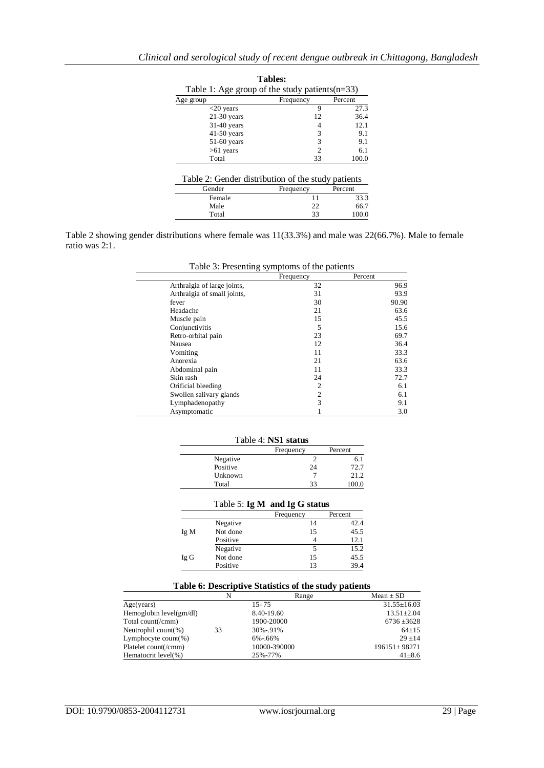| <b>Tables:</b>                                    |               |         |
|---------------------------------------------------|---------------|---------|
| Table 1: Age group of the study patients $(n=33)$ |               |         |
| Age group                                         | Frequency     | Percent |
| $<$ 20 years                                      | 9             | 27.3    |
| $21-30$ years                                     | 12            | 36.4    |
| $31-40$ years                                     | 4             | 12.1    |
| $41-50$ years                                     | 3             | 9.1     |
| $51-60$ years                                     | 3             | 9.1     |
| $>61$ years                                       | $\mathcal{D}$ | 6.1     |
| Total                                             | 33            | 100.0   |

| Table 2: Gender distribution of the study patients |  |  |  |
|----------------------------------------------------|--|--|--|
|----------------------------------------------------|--|--|--|

| Gender | Frequency | Percent |
|--------|-----------|---------|
| Female |           | 33.3    |
| Male   | າາ        | 66.7    |
| Total  | 33        | 100.0   |

Table 2 showing gender distributions where female was 11(33.3%) and male was 22(66.7%). Male to female ratio was 2:1.

| Table 3: Presenting symptoms of the patients |  |  |  |  |  |
|----------------------------------------------|--|--|--|--|--|
|----------------------------------------------|--|--|--|--|--|

|                             | Frequency      | Percent |
|-----------------------------|----------------|---------|
| Arthralgia of large joints, | 32             | 96.9    |
| Arthralgia of small joints, | 31             | 93.9    |
| fever                       | 30             | 90.90   |
| Headache                    | 21             | 63.6    |
| Muscle pain                 | 15             | 45.5    |
| Conjunctivitis              | 5              | 15.6    |
| Retro-orbital pain          | 23             | 69.7    |
| Nausea                      | 12             | 36.4    |
| Vomiting                    | 11             | 33.3    |
| Anorexia                    | 21             | 63.6    |
| Abdominal pain              | 11             | 33.3    |
| Skin rash                   | 24             | 72.7    |
| Orificial bleeding          | $\overline{c}$ | 6.1     |
| Swollen salivary glands     | $\overline{2}$ | 6.1     |
| Lymphadenopathy             | 3              | 9.1     |
| Asymptomatic                |                | 3.0     |

Table 4: **NS1 status**

| 1 able 4: <b>NSI status</b> |           |         |  |
|-----------------------------|-----------|---------|--|
|                             | Frequency | Percent |  |
| Negative                    |           | 6.1     |  |
| Positive                    | 24        | 72.7    |  |
| Unknown                     |           | 21.2    |  |
| Total                       | 33        | 100.0   |  |

|  | Table 5: $IgM$ and $IgG$ status |
|--|---------------------------------|
|--|---------------------------------|

|      |          | Frequency | Percent |
|------|----------|-----------|---------|
|      | Negative | 14        | 42.4    |
| Ig M | Not done | 15        | 45.5    |
|      | Positive |           | 12.1    |
|      | Negative |           | 15.2    |
| Ig G | Not done | 15        | 45.5    |
|      | Positive | 13        | 39.4    |

### **Table 6: Descriptive Statistics of the study patients**

|                           | N  | Range        | Mean $\pm$ SD      |
|---------------------------|----|--------------|--------------------|
| Age(years)                |    | $15 - 75$    | $31.55 \pm 16.03$  |
| Hemoglobin $level(gm/dl)$ |    | 8.40-19.60   | $13.51 \pm 2.04$   |
| Total count(/cmm)         |    | 1900-20000   | $6736 \pm 3628$    |
| Neutrophil count $(\%)$   | 33 | 30%-.91%     | $64+15$            |
| Lymphocyte count $(\%)$   |    | $6\% - 66\%$ | $29 + 14$          |
| Platelet count(/cmm)      |    | 10000-390000 | $196151 \pm 98271$ |
| Hematocrit level(%)       |    | 25%-77%      | $41 \pm 8.6$       |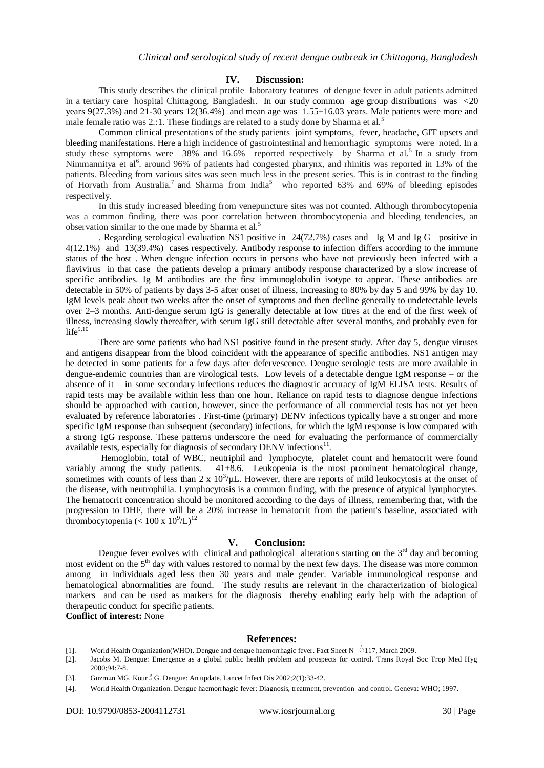#### **IV. Discussion:**

This study describes the clinical profile laboratory features of dengue fever in adult patients admitted in a tertiary care hospital Chittagong, Bangladesh. In our study common age group distributions was <20 years 9(27.3%) and 21-30 years 12(36.4%) and mean age was 1.55±16.03 years. Male patients were more and male female ratio was 2.:1. These findings are related to a study done by Sharma et al.<sup>5</sup>

Common clinical presentations of the study patients joint symptoms, fever, headache, GIT upsets and bleeding manifestations. Here a high incidence of gastrointestinal and hemorrhagic symptoms were noted. In a study these symptoms were 38% and 16.6% reported respectively by Sharma et al.<sup>5</sup> In a study from Nimmannitya et al<sup>6</sup>. around 96% of patients had congested pharynx, and rhinitis was reported in 13% of the patients. Bleeding from various sites was seen much less in the present series. This is in contrast to the finding of Horvath from Australia.<sup>7</sup> and Sharma from India<sup>5</sup> who reported 63% and 69% of bleeding episodes respectively.

In this study increased bleeding from venepuncture sites was not counted. Although thrombocytopenia was a common finding, there was poor correlation between thrombocytopenia and bleeding tendencies, an observation similar to the one made by Sharma et al.<sup>5</sup>

. Regarding serological evaluation NS1 positive in 24(72.7%) cases and Ig M and Ig G positive in 4(12.1%) and 13(39.4%) cases respectively. Antibody response to infection differs according to the immune status of the host . When dengue infection occurs in persons who have not previously been infected with a flavivirus in that case the patients develop a primary antibody response characterized by a slow increase of specific antibodies. Ig M antibodies are the first immunoglobulin isotype to appear. These antibodies are detectable in 50% of patients by days 3-5 after onset of illness, increasing to 80% by day 5 and 99% by day 10. IgM levels peak about two weeks after the onset of symptoms and then decline generally to undetectable levels over 2–3 months. Anti-dengue serum IgG is generally detectable at low titres at the end of the first week of illness, increasing slowly thereafter, with serum IgG still detectable after several months, and probably even for  $life^{9,10}$ 

There are some patients who had NS1 positive found in the present study. After day 5, dengue viruses and antigens disappear from the blood coincident with the appearance of specific antibodies. NS1 antigen may be detected in some patients for a few days after defervescence. Dengue serologic tests are more available in dengue-endemic countries than are virological tests. Low levels of a detectable dengue IgM response – or the absence of it – in some secondary infections reduces the diagnostic accuracy of IgM ELISA tests. Results of rapid tests may be available within less than one hour. Reliance on rapid tests to diagnose dengue infections should be approached with caution, however, since the performance of all commercial tests has not yet been evaluated by reference laboratories . First-time (primary) DENV infections typically have a stronger and more specific IgM response than subsequent (secondary) infections, for which the IgM response is low compared with a strong IgG response. These patterns underscore the need for evaluating the performance of commercially available tests, especially for diagnosis of secondary DENV infections<sup>11</sup>.

Hemoglobin, total of WBC, neutriphil and lymphocyte, platelet count and hematocrit were found variably among the study patients.  $41\pm8.6$ . Leukopenia is the most prominent hematological change, sometimes with counts of less than  $2 \times 10^3/\mu$ L. However, there are reports of mild leukocytosis at the onset of the disease, with neutrophilia. Lymphocytosis is a common finding, with the presence of atypical lymphocytes. The hematocrit concentration should be monitored according to the days of illness, remembering that, with the progression to DHF, there will be a 20% increase in hematocrit from the patient's baseline, associated with thrombocytopenia ( $< 100 \times 10^{9}/L$ )<sup>12</sup>

#### **V. Conclusion:**

Dengue fever evolves with clinical and pathological alterations starting on the  $3<sup>rd</sup>$  day and becoming most evident on the 5<sup>th</sup> day with values restored to normal by the next few days. The disease was more common among in individuals aged less then 30 years and male gender. Variable immunological response and hematological abnormalities are found. The study results are relevant in the characterization of biological markers and can be used as markers for the diagnosis thereby enabling early help with the adaption of therapeutic conduct for specific patients.

**Conflict of interest:** None

#### **References:**

- [1]. World Health Organization(WHO). Dengue and dengue haemorrhagic fever. Fact Sheet N  $\cdot$  117, March 2009.
- [2]. Jacobs M. Dengue: Emergence as a global public health problem and prospects for control. Trans Royal Soc Trop Med Hyg 2000;94:7-8.
- [3]. Guzmun MG, Kour $\hat{S}$  G. Dengue: An update. Lancet Infect Dis 2002;2(1):33-42.
- [4]. World Health Organization. Dengue haemorrhagic fever: Diagnosis, treatment, prevention and control. Geneva: WHO; 1997.